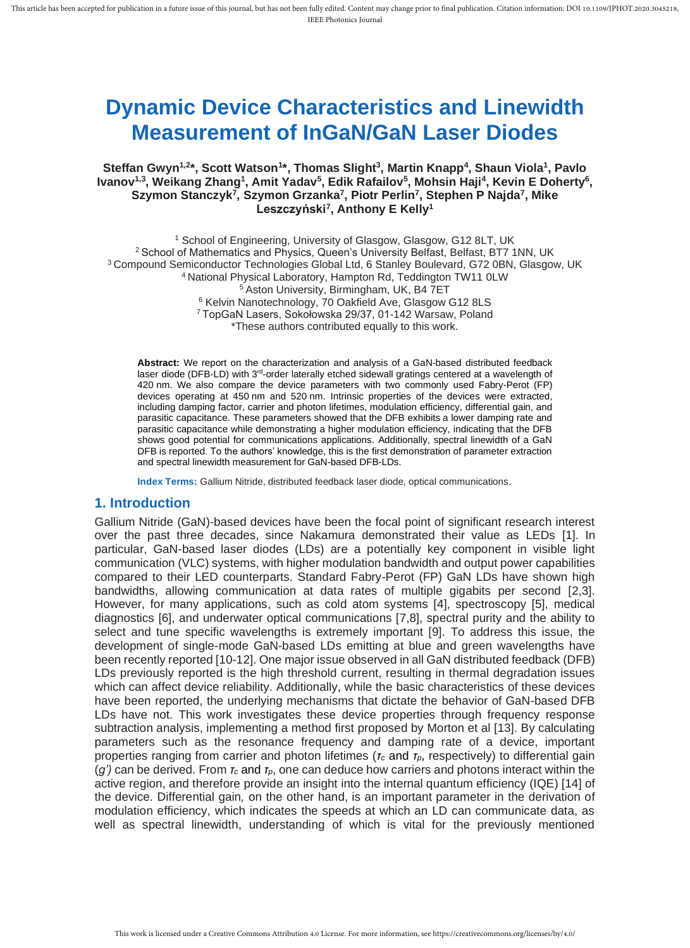# **Dynamic Device Characteristics and Linewidth Measurement of InGaN/GaN Laser Diodes**

### **Steffan Gwyn1,2\*, Scott Watson<sup>1</sup> \*, Thomas Slight<sup>3</sup> , Martin Knapp<sup>4</sup> , Shaun Viola<sup>1</sup> , Pavlo Ivanov1,3 , Weikang Zhang<sup>1</sup> , Amit Yadav<sup>5</sup> , Edik Rafailov<sup>5</sup> , Mohsin Haji<sup>4</sup> , Kevin E Doherty<sup>6</sup> , Szymon Stanczyk<sup>7</sup> , Szymon Grzanka<sup>7</sup> , Piotr Perlin<sup>7</sup> , Stephen P Najda<sup>7</sup> , Mike Leszczyński<sup>7</sup> , Anthony E Kelly<sup>1</sup>**

<sup>1</sup> School of Engineering, University of Glasgow, Glasgow, G12 8LT, UK <sup>2</sup> School of Mathematics and Physics, Queen's University Belfast, Belfast, BT7 1NN, UK <sup>3</sup>Compound Semiconductor Technologies Global Ltd, 6 Stanley Boulevard, G72 0BN, Glasgow, UK <sup>4</sup>National Physical Laboratory, Hampton Rd, Teddington TW11 0LW <sup>5</sup> Aston University, Birmingham, UK, B4 7ET <sup>6</sup> Kelvin Nanotechnology, 70 Oakfield Ave, Glasgow G12 8LS <sup>7</sup>TopGaN Lasers, Sokołowska 29/37, 01-142 Warsaw, Poland \*These authors contributed equally to this work.

**Abstract:** We report on the characterization and analysis of a GaN-based distributed feedback laser diode (DFB-LD) with 3<sup>rd</sup>-order laterally etched sidewall gratings centered at a wavelength of 420 nm. We also compare the device parameters with two commonly used Fabry-Perot (FP) devices operating at 450 nm and 520 nm. Intrinsic properties of the devices were extracted, including damping factor, carrier and photon lifetimes, modulation efficiency, differential gain, and parasitic capacitance. These parameters showed that the DFB exhibits a lower damping rate and parasitic capacitance while demonstrating a higher modulation efficiency, indicating that the DFB shows good potential for communications applications. Additionally, spectral linewidth of a GaN DFB is reported. To the authors' knowledge, this is the first demonstration of parameter extraction and spectral linewidth measurement for GaN-based DFB-LDs.

**Index Terms:** Gallium Nitride, distributed feedback laser diode, optical communications.

### **1. Introduction**

Gallium Nitride (GaN)-based devices have been the focal point of significant research interest over the past three decades, since Nakamura demonstrated their value as LEDs [1]. In particular, GaN-based laser diodes (LDs) are a potentially key component in visible light communication (VLC) systems, with higher modulation bandwidth and output power capabilities compared to their LED counterparts. Standard Fabry-Perot (FP) GaN LDs have shown high bandwidths, allowing communication at data rates of multiple gigabits per second [2,3]. However, for many applications, such as cold atom systems [4], spectroscopy [5], medical diagnostics [6], and underwater optical communications [7,8], spectral purity and the ability to select and tune specific wavelengths is extremely important [9]. To address this issue, the development of single-mode GaN-based LDs emitting at blue and green wavelengths have been recently reported [10-12]. One major issue observed in all GaN distributed feedback (DFB) LDs previously reported is the high threshold current, resulting in thermal degradation issues which can affect device reliability. Additionally, while the basic characteristics of these devices have been reported, the underlying mechanisms that dictate the behavior of GaN-based DFB LDs have not. This work investigates these device properties through frequency response subtraction analysis, implementing a method first proposed by Morton et al [13]. By calculating parameters such as the resonance frequency and damping rate of a device, important properties ranging from carrier and photon lifetimes (*τ<sup>c</sup>* and *τp*, respectively) to differential gain (*g')* can be derived. From *τ<sup>c</sup>* and *τp*, one can deduce how carriers and photons interact within the active region, and therefore provide an insight into the internal quantum efficiency (IQE) [14] of the device. Differential gain*,* on the other hand, is an important parameter in the derivation of modulation efficiency, which indicates the speeds at which an LD can communicate data, as well as spectral linewidth, understanding of which is vital for the previously mentioned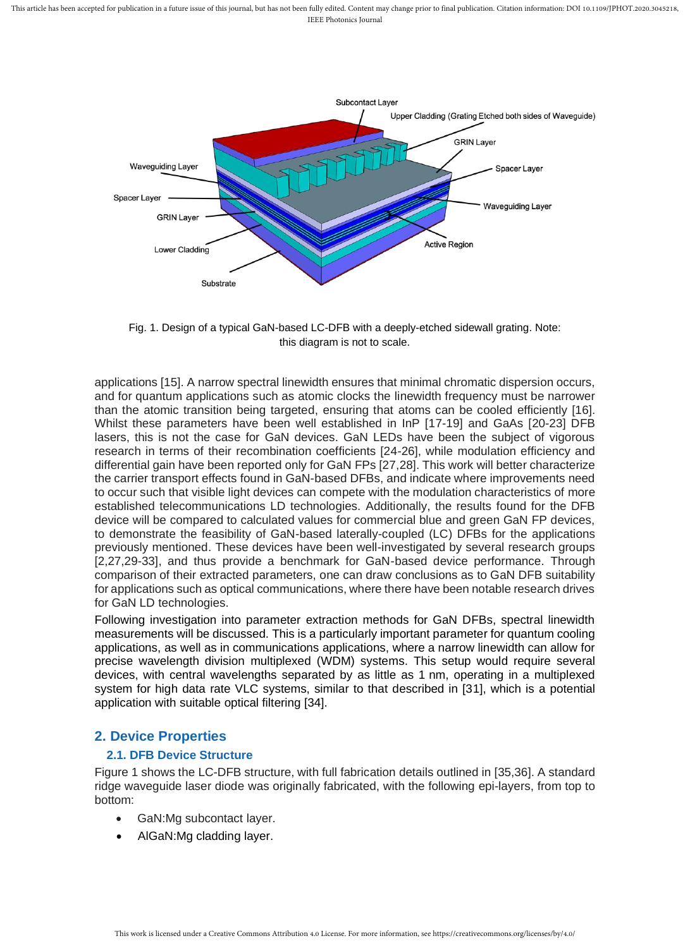

Fig. 1. Design of a typical GaN-based LC-DFB with a deeply-etched sidewall grating. Note: this diagram is not to scale.

applications [15]. A narrow spectral linewidth ensures that minimal chromatic dispersion occurs, and for quantum applications such as atomic clocks the linewidth frequency must be narrower than the atomic transition being targeted, ensuring that atoms can be cooled efficiently [16]. Whilst these parameters have been well established in InP [17-19] and GaAs [20-23] DFB lasers, this is not the case for GaN devices. GaN LEDs have been the subject of vigorous research in terms of their recombination coefficients [24-26], while modulation efficiency and differential gain have been reported only for GaN FPs [27,28]. This work will better characterize the carrier transport effects found in GaN-based DFBs, and indicate where improvements need to occur such that visible light devices can compete with the modulation characteristics of more established telecommunications LD technologies. Additionally, the results found for the DFB device will be compared to calculated values for commercial blue and green GaN FP devices, to demonstrate the feasibility of GaN-based laterally-coupled (LC) DFBs for the applications previously mentioned. These devices have been well-investigated by several research groups [2,27,29-33], and thus provide a benchmark for GaN-based device performance. Through comparison of their extracted parameters, one can draw conclusions as to GaN DFB suitability for applications such as optical communications, where there have been notable research drives for GaN LD technologies.

Following investigation into parameter extraction methods for GaN DFBs, spectral linewidth measurements will be discussed. This is a particularly important parameter for quantum cooling applications, as well as in communications applications, where a narrow linewidth can allow for precise wavelength division multiplexed (WDM) systems. This setup would require several devices, with central wavelengths separated by as little as 1 nm, operating in a multiplexed system for high data rate VLC systems, similar to that described in [31], which is a potential application with suitable optical filtering [34].

## **2. Device Properties**

### **2.1. DFB Device Structure**

Figure 1 shows the LC-DFB structure, with full fabrication details outlined in [35,36]. A standard ridge waveguide laser diode was originally fabricated, with the following epi-layers, from top to bottom:

- GaN: Mg subcontact layer.
- AlGaN:Mg cladding layer.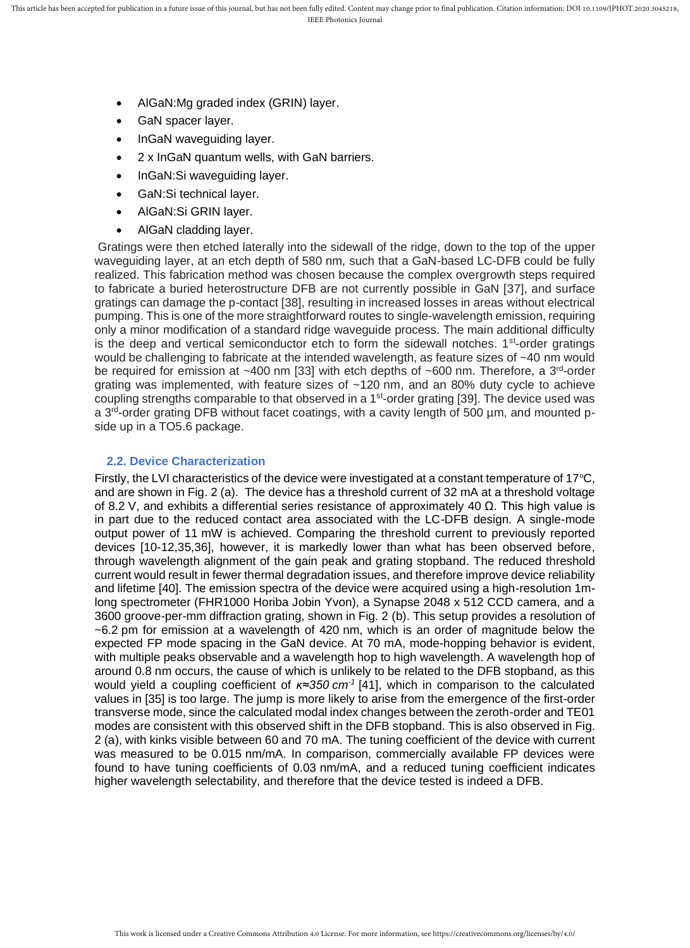- AlGaN:Mg graded index (GRIN) layer.
- GaN spacer layer.
- InGaN waveguiding layer.
- 2 x InGaN quantum wells, with GaN barriers.
- InGaN:Si waveguiding layer.
- GaN:Si technical layer.
- AlGaN:Si GRIN layer.
- AlGaN cladding layer.

Gratings were then etched laterally into the sidewall of the ridge, down to the top of the upper waveguiding layer, at an etch depth of 580 nm, such that a GaN-based LC-DFB could be fully realized. This fabrication method was chosen because the complex overgrowth steps required to fabricate a buried heterostructure DFB are not currently possible in GaN [37], and surface gratings can damage the p-contact [38], resulting in increased losses in areas without electrical pumping. This is one of the more straightforward routes to single-wavelength emission, requiring only a minor modification of a standard ridge waveguide process. The main additional difficulty is the deep and vertical semiconductor etch to form the sidewall notches.  $1<sup>st</sup>$ -order gratings would be challenging to fabricate at the intended wavelength, as feature sizes of ~40 nm would be required for emission at ~400 nm [33] with etch depths of ~600 nm. Therefore, a 3<sup>rd</sup>-order grating was implemented, with feature sizes of ~120 nm, and an 80% duty cycle to achieve coupling strengths comparable to that observed in a 1<sup>st</sup>-order grating [39]. The device used was a 3<sup>rd</sup>-order grating DFB without facet coatings, with a cavity length of 500 µm, and mounted pside up in a TO5.6 package.

#### **2.2. Device Characterization**

Firstly, the LVI characteristics of the device were investigated at a constant temperature of 17°C, and are shown in Fig. 2 (a). The device has a threshold current of 32 mA at a threshold voltage of 8.2 V, and exhibits a differential series resistance of approximately 40 Ω. This high value is in part due to the reduced contact area associated with the LC-DFB design. A single-mode output power of 11 mW is achieved. Comparing the threshold current to previously reported devices [10-12,35,36], however, it is markedly lower than what has been observed before, through wavelength alignment of the gain peak and grating stopband. The reduced threshold current would result in fewer thermal degradation issues, and therefore improve device reliability and lifetime [40]. The emission spectra of the device were acquired using a high-resolution 1mlong spectrometer (FHR1000 Horiba Jobin Yvon), a Synapse 2048 x 512 CCD camera, and a 3600 groove-per-mm diffraction grating, shown in Fig. 2 (b). This setup provides a resolution of ~6.2 pm for emission at a wavelength of 420 nm, which is an order of magnitude below the expected FP mode spacing in the GaN device. At 70 mA, mode-hopping behavior is evident, with multiple peaks observable and a wavelength hop to high wavelength. A wavelength hop of around 0.8 nm occurs, the cause of which is unlikely to be related to the DFB stopband, as this would yield a coupling coefficient of *κ≈350 cm-1* [41], which in comparison to the calculated values in [35] is too large. The jump is more likely to arise from the emergence of the first-order transverse mode, since the calculated modal index changes between the zeroth-order and TE01 modes are consistent with this observed shift in the DFB stopband. This is also observed in Fig. 2 (a), with kinks visible between 60 and 70 mA. The tuning coefficient of the device with current was measured to be 0.015 nm/mA. In comparison, commercially available FP devices were found to have tuning coefficients of 0.03 nm/mA, and a reduced tuning coefficient indicates higher wavelength selectability, and therefore that the device tested is indeed a DFB.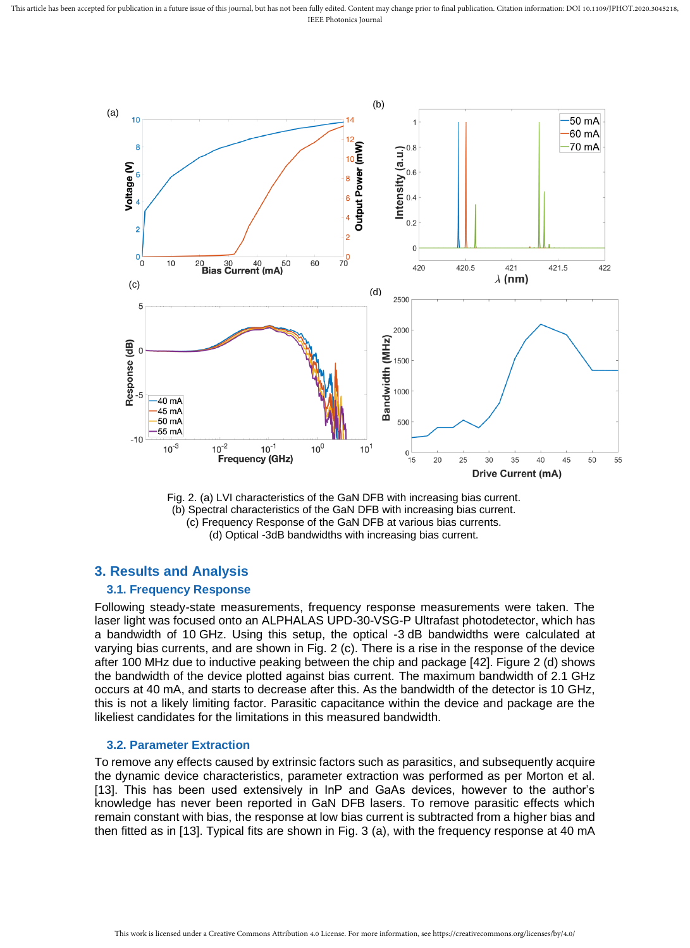

Fig. 2. (a) LVI characteristics of the GaN DFB with increasing bias current. (b) Spectral characteristics of the GaN DFB with increasing bias current. (c) Frequency Response of the GaN DFB at various bias currents. (d) Optical -3dB bandwidths with increasing bias current.

## **3. Results and Analysis**

#### **3.1. Frequency Response**

Following steady-state measurements, frequency response measurements were taken. The laser light was focused onto an ALPHALAS UPD-30-VSG-P Ultrafast photodetector, which has a bandwidth of 10 GHz. Using this setup, the optical -3 dB bandwidths were calculated at varying bias currents, and are shown in Fig. 2 (c). There is a rise in the response of the device after 100 MHz due to inductive peaking between the chip and package [42]. Figure 2 (d) shows the bandwidth of the device plotted against bias current. The maximum bandwidth of 2.1 GHz occurs at 40 mA, and starts to decrease after this. As the bandwidth of the detector is 10 GHz, this is not a likely limiting factor. Parasitic capacitance within the device and package are the likeliest candidates for the limitations in this measured bandwidth.

#### **3.2. Parameter Extraction**

To remove any effects caused by extrinsic factors such as parasitics, and subsequently acquire the dynamic device characteristics, parameter extraction was performed as per Morton et al. [13]. This has been used extensively in InP and GaAs devices, however to the author's knowledge has never been reported in GaN DFB lasers. To remove parasitic effects which remain constant with bias, the response at low bias current is subtracted from a higher bias and then fitted as in [13]. Typical fits are shown in Fig. 3 (a), with the frequency response at 40 mA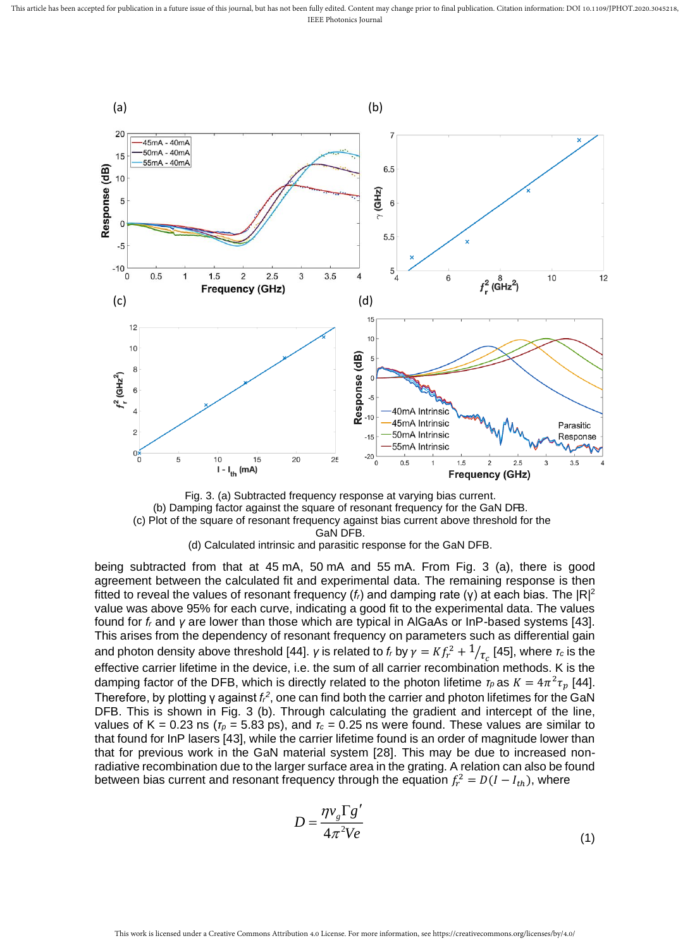

Fig. 3. (a) Subtracted frequency response at varying bias current. (b) Damping factor against the square of resonant frequency for the GaN DFB. (c) Plot of the square of resonant frequency against bias current above threshold for the GaN DFB.

(d) Calculated intrinsic and parasitic response for the GaN DFB.

being subtracted from that at 45 mA, 50 mA and 55 mA. From Fig. 3 (a), there is good agreement between the calculated fit and experimental data. The remaining response is then fitted to reveal the values of resonant frequency ( $f<sub>i</sub>$ ) and damping rate (γ) at each bias. The  $|R|^{2}$ value was above 95% for each curve, indicating a good fit to the experimental data. The values found for *f<sup>r</sup>* and *γ* are lower than those which are typical in AlGaAs or InP-based systems [43]. This arises from the dependency of resonant frequency on parameters such as differential gain and photon density above threshold [44]. *γ* is related to *f<sub>r</sub>* by  $\gamma = K f_r^2 + {1}/{\tau_c}$  [45], where  $\tau_c$  is the effective carrier lifetime in the device, i.e. the sum of all carrier recombination methods. K is the damping factor of the DFB, which is directly related to the photon lifetime  $\tau_p$  as  $K = 4\pi^2 \tau_p$  [44]. Therefore, by plotting γ against *f<sub>i</sub><sup>2</sup>*, one can find both the carrier and photon lifetimes for the GaN DFB. This is shown in Fig. 3 (b). Through calculating the gradient and intercept of the line, values of K = 0.23 ns ( $r_p$  = 5.83 ps), and  $r_c$  = 0.25 ns were found. These values are similar to that found for InP lasers [43], while the carrier lifetime found is an order of magnitude lower than that for previous work in the GaN material system [28]. This may be due to increased nonradiative recombination due to the larger surface area in the grating. A relation can also be found between bias current and resonant frequency through the equation  $f_r^2 = D(I - I_{th})$ , where

$$
D = \frac{\eta v_g \Gamma g'}{4\pi^2 V e} \tag{1}
$$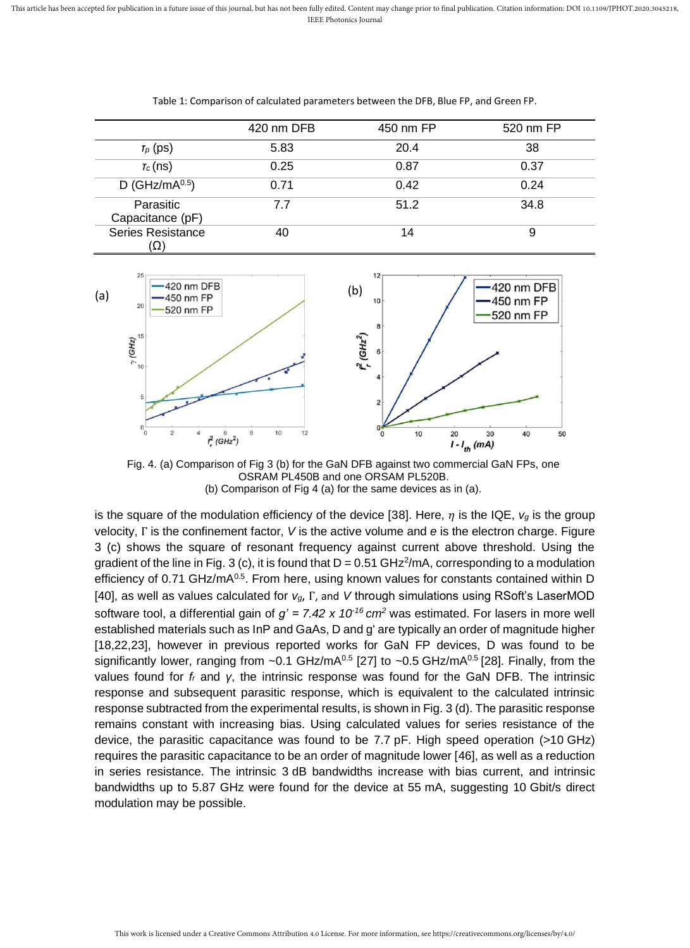|                               | 420 nm DFB | 450 nm FP | 520 nm FP |
|-------------------------------|------------|-----------|-----------|
| $T_p$ (ps)                    | 5.83       | 20.4      | 38        |
| $T_c$ (ns)                    | 0.25       | 0.87      | 0.37      |
| D (GHz/m $A^{0.5}$ )          | 0.71       | 0.42      | 0.24      |
| Parasitic<br>Capacitance (pF) | 7.7        | 51.2      | 34.8      |
| Series Resistance<br>(12)     | 40         | 14        | 9         |

Table 1: Comparison of calculated parameters between the DFB, Blue FP, and Green FP.



Fig. 4. (a) Comparison of Fig 3 (b) for the GaN DFB against two commercial GaN FPs, one OSRAM PL450B and one ORSAM PL520B. (b) Comparison of Fig 4 (a) for the same devices as in (a).

is the square of the modulation efficiency of the device [38]. Here,  $\eta$  is the IQE,  $v_g$  is the group velocity, Γ is the confinement factor, *V* is the active volume and *e* is the electron charge. Figure 3 (c) shows the square of resonant frequency against current above threshold. Using the gradient of the line in Fig. 3 (c), it is found that  $D = 0.51$  GHz<sup>2</sup>/mA, corresponding to a modulation efficiency of 0.71 GHz/mA<sup>0.5</sup>. From here, using known values for constants contained within D [40], as well as values calculated for *vg*, Γ, and *V* through simulations using RSoft's LaserMOD software tool, a differential gain of *g' = 7.42 x 10-16 cm<sup>2</sup>* was estimated. For lasers in more well established materials such as InP and GaAs, D and g' are typically an order of magnitude higher [18,22,23], however in previous reported works for GaN FP devices, D was found to be significantly lower, ranging from  $\sim$  0.1 GHz/mA<sup>0.5</sup> [27] to  $\sim$  0.5 GHz/mA<sup>0.5</sup> [28]. Finally, from the values found for *f<sup>r</sup>* and *γ*, the intrinsic response was found for the GaN DFB. The intrinsic response and subsequent parasitic response, which is equivalent to the calculated intrinsic response subtracted from the experimental results, is shown in Fig. 3 (d). The parasitic response remains constant with increasing bias. Using calculated values for series resistance of the device, the parasitic capacitance was found to be 7.7 pF. High speed operation (>10 GHz) requires the parasitic capacitance to be an order of magnitude lower [46], as well as a reduction in series resistance. The intrinsic 3 dB bandwidths increase with bias current, and intrinsic bandwidths up to 5.87 GHz were found for the device at 55 mA, suggesting 10 Gbit/s direct modulation may be possible.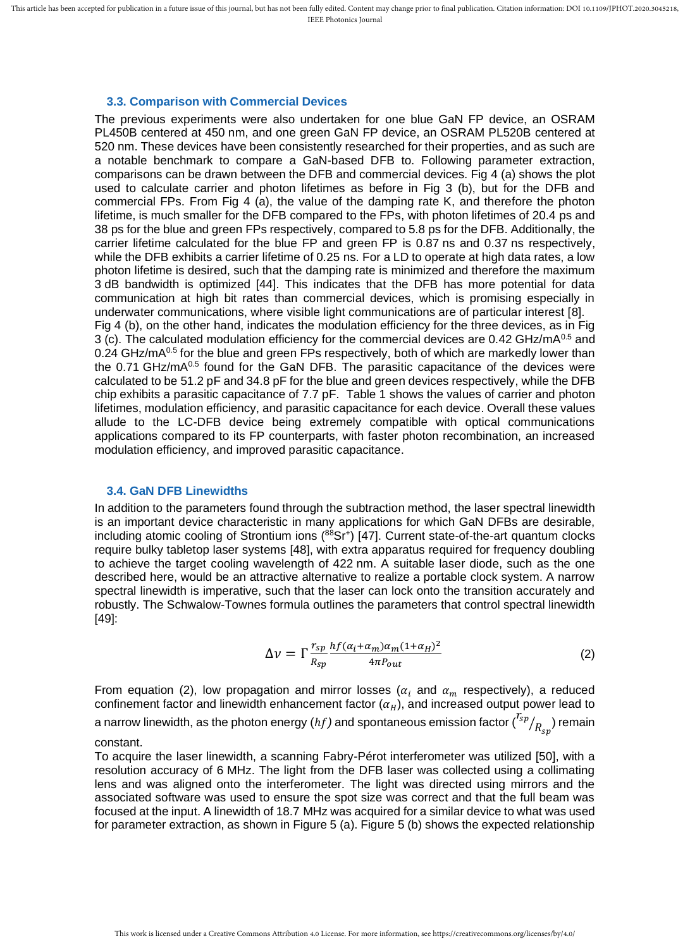#### **3.3. Comparison with Commercial Devices**

The previous experiments were also undertaken for one blue GaN FP device, an OSRAM PL450B centered at 450 nm, and one green GaN FP device, an OSRAM PL520B centered at 520 nm. These devices have been consistently researched for their properties, and as such are a notable benchmark to compare a GaN-based DFB to. Following parameter extraction, comparisons can be drawn between the DFB and commercial devices. Fig 4 (a) shows the plot used to calculate carrier and photon lifetimes as before in Fig 3 (b), but for the DFB and commercial FPs. From Fig 4 (a), the value of the damping rate K, and therefore the photon lifetime, is much smaller for the DFB compared to the FPs, with photon lifetimes of 20.4 ps and 38 ps for the blue and green FPs respectively, compared to 5.8 ps for the DFB. Additionally, the carrier lifetime calculated for the blue FP and green FP is 0.87 ns and 0.37 ns respectively, while the DFB exhibits a carrier lifetime of 0.25 ns. For a LD to operate at high data rates, a low photon lifetime is desired, such that the damping rate is minimized and therefore the maximum 3 dB bandwidth is optimized [44]. This indicates that the DFB has more potential for data communication at high bit rates than commercial devices, which is promising especially in underwater communications, where visible light communications are of particular interest [8]. Fig 4 (b), on the other hand, indicates the modulation efficiency for the three devices, as in Fig 3 (c). The calculated modulation efficiency for the commercial devices are  $0.42$  GHz/mA $^{0.5}$  and  $0.24$  GHz/mA $0.5$  for the blue and green FPs respectively, both of which are markedly lower than the  $0.71$  GHz/mA $^{0.5}$  found for the GaN DFB. The parasitic capacitance of the devices were calculated to be 51.2 pF and 34.8 pF for the blue and green devices respectively, while the DFB chip exhibits a parasitic capacitance of 7.7 pF. Table 1 shows the values of carrier and photon lifetimes, modulation efficiency, and parasitic capacitance for each device. Overall these values allude to the LC-DFB device being extremely compatible with optical communications applications compared to its FP counterparts, with faster photon recombination, an increased modulation efficiency, and improved parasitic capacitance.

#### **3.4. GaN DFB Linewidths**

In addition to the parameters found through the subtraction method, the laser spectral linewidth is an important device characteristic in many applications for which GaN DFBs are desirable, including atomic cooling of Strontium ions (88Sr<sup>+</sup>) [47]. Current state-of-the-art quantum clocks require bulky tabletop laser systems [48], with extra apparatus required for frequency doubling to achieve the target cooling wavelength of 422 nm. A suitable laser diode, such as the one described here, would be an attractive alternative to realize a portable clock system. A narrow spectral linewidth is imperative, such that the laser can lock onto the transition accurately and robustly. The Schwalow-Townes formula outlines the parameters that control spectral linewidth [49]:

$$
\Delta \nu = \Gamma \frac{r_{sp}}{R_{sp}} \frac{hf(\alpha_i + \alpha_m)\alpha_m (1 + \alpha_H)^2}{4\pi P_{out}} \tag{2}
$$

From equation (2), low propagation and mirror losses ( $\alpha_i$  and  $\alpha_m$  respectively), a reduced confinement factor and linewidth enhancement factor  $(\alpha_H)$ , and increased output power lead to a narrow linewidth, as the photon energy (hf) and spontaneous emission factor  $\binom{r_{sp}}{R_{sp}}$  remain

#### constant.

To acquire the laser linewidth, a scanning Fabry-Pérot interferometer was utilized [50], with a resolution accuracy of 6 MHz. The light from the DFB laser was collected using a collimating lens and was aligned onto the interferometer. The light was directed using mirrors and the associated software was used to ensure the spot size was correct and that the full beam was focused at the input. A linewidth of 18.7 MHz was acquired for a similar device to what was used for parameter extraction, as shown in Figure 5 (a). Figure 5 (b) shows the expected relationship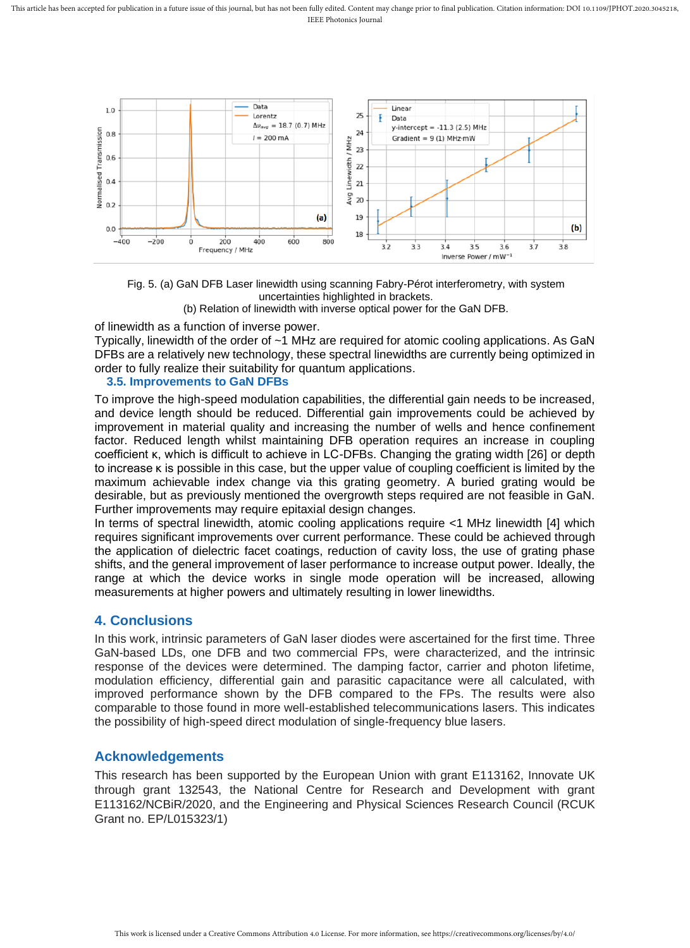

Fig. 5. (a) GaN DFB Laser linewidth using scanning Fabry-Pérot interferometry, with system uncertainties highlighted in brackets. (b) Relation of linewidth with inverse optical power for the GaN DFB.

of linewidth as a function of inverse power.

Typically, linewidth of the order of ~1 MHz are required for atomic cooling applications. As GaN DFBs are a relatively new technology, these spectral linewidths are currently being optimized in order to fully realize their suitability for quantum applications.

#### **3.5. Improvements to GaN DFBs**

To improve the high-speed modulation capabilities, the differential gain needs to be increased, and device length should be reduced. Differential gain improvements could be achieved by improvement in material quality and increasing the number of wells and hence confinement factor. Reduced length whilst maintaining DFB operation requires an increase in coupling coefficient κ, which is difficult to achieve in LC-DFBs. Changing the grating width [26] or depth to increase κ is possible in this case, but the upper value of coupling coefficient is limited by the maximum achievable index change via this grating geometry. A buried grating would be desirable, but as previously mentioned the overgrowth steps required are not feasible in GaN. Further improvements may require epitaxial design changes.

In terms of spectral linewidth, atomic cooling applications require <1 MHz linewidth [4] which requires significant improvements over current performance. These could be achieved through the application of dielectric facet coatings, reduction of cavity loss, the use of grating phase shifts, and the general improvement of laser performance to increase output power. Ideally, the range at which the device works in single mode operation will be increased, allowing measurements at higher powers and ultimately resulting in lower linewidths.

# **4. Conclusions**

In this work, intrinsic parameters of GaN laser diodes were ascertained for the first time. Three GaN-based LDs, one DFB and two commercial FPs, were characterized, and the intrinsic response of the devices were determined. The damping factor, carrier and photon lifetime, modulation efficiency, differential gain and parasitic capacitance were all calculated, with improved performance shown by the DFB compared to the FPs. The results were also comparable to those found in more well-established telecommunications lasers. This indicates the possibility of high-speed direct modulation of single-frequency blue lasers.

## **Acknowledgements**

This research has been supported by the European Union with grant E113162, Innovate UK through grant 132543, the National Centre for Research and Development with grant E113162/NCBiR/2020, and the Engineering and Physical Sciences Research Council (RCUK Grant no. EP/L015323/1)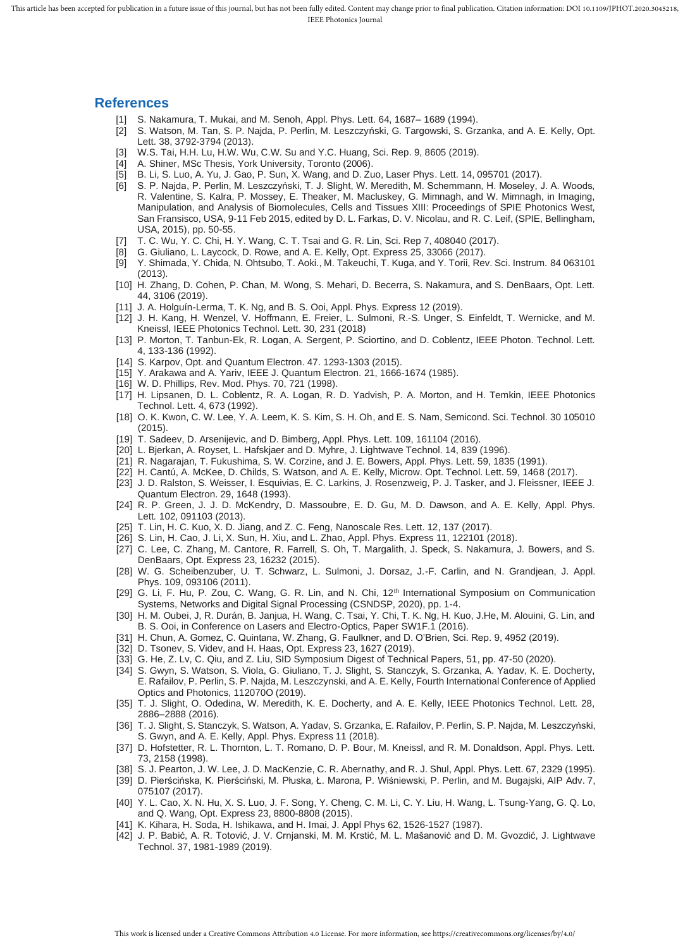#### **References**

- [1] S. Nakamura, T. Mukai, and M. Senoh, Appl. Phys. Lett. 64, 1687– 1689 (1994).
- [2] S. Watson, M. Tan, S. P. Najda, P. Perlin, M. Leszczyński, G. Targowski, S. Grzanka, and A. E. Kelly, Opt. Lett. 38, 3792-3794 (2013).
	- [3] W.S. Tai, H.H. Lu, H.W. Wu, C.W. Su and Y.C. Huang, Sci. Rep. 9, 8605 (2019).
	- [4] A. Shiner, MSc Thesis, York University, Toronto (2006).
	- [5] B. Li, S. Luo, A. Yu, J. Gao, P. Sun, X. Wang, and D. Zuo, Laser Phys. Lett. 14, 095701 (2017).
	- [6] S. P. Najda, P. Perlin, M. Leszczyński, T. J. Slight, W. Meredith, M. Schemmann, H. Moseley, J. A. Woods, R. Valentine, S. Kalra, P. Mossey, E. Theaker, M. Macluskey, G. Mimnagh, and W. Mimnagh, in Imaging, Manipulation, and Analysis of Biomolecules, Cells and Tissues XIII: Proceedings of SPIE Photonics West, San Fransisco, USA, 9-11 Feb 2015, edited by D. L. Farkas, D. V. Nicolau, and R. C. Leif, (SPIE, Bellingham, USA, 2015), pp. 50-55.
	- [7] T. C. Wu, Y. C. Chi, H. Y. Wang, C. T. Tsai and G. R. Lin, Sci. Rep 7, 408040 (2017).
	- [8] G. Giuliano, L. Laycock, D. Rowe, and A. E. Kelly, Opt. Express 25, 33066 (2017).
	- [9] Y. Shimada, Y. Chida, N. Ohtsubo, T. Aoki., M. Takeuchi, T. Kuga, and Y. Torii, Rev. Sci. Instrum*.* 84 063101 (2013).
	- [10] H. Zhang, D. Cohen, P. Chan, M. Wong, S. Mehari, D. Becerra, S. Nakamura, and S. DenBaars, Opt. Lett. 44, 3106 (2019).
	- [11] J. A. Holguín-Lerma, T. K. Ng, and B. S. Ooi, Appl. Phys. Express 12 (2019).
	- [12] J. H. Kang, H. Wenzel, V. Hoffmann, E. Freier, L. Sulmoni, R.-S. Unger, S. Einfeldt, T. Wernicke, and M. Kneissl, IEEE Photonics Technol. Lett. 30, 231 (2018)
	- [13] P. Morton, T. Tanbun-Ek, R. Logan, A. Sergent, P. Sciortino, and D. Coblentz, IEEE Photon. Technol. Lett. 4, 133-136 (1992).
	- [14] S. Karpov, Opt. and Quantum Electron. 47. 1293-1303 (2015).
	- [15] Y. Arakawa and A. Yariv, IEEE J. Quantum Electron. 21, 1666-1674 (1985).
	- [16] W. D. Phillips, Rev. Mod. Phys. 70, 721 (1998).
	- [17] H. Lipsanen, D. L. Coblentz, R. A. Logan, R. D. Yadvish, P. A. Morton, and H. Temkin, IEEE Photonics Technol. Lett. 4, 673 (1992).
	- [18] O. K. Kwon, C. W. Lee, Y. A. Leem, K. S. Kim, S. H. Oh, and E. S. Nam, Semicond. Sci. Technol. 30 105010 (2015).
	- [19] T. Sadeev, D. Arsenijevic, and D. Bimberg, Appl. Phys. Lett. 109, 161104 (2016).
	- [20] L. Bjerkan, A. Royset, L. Hafskjaer and D. Myhre, J. Lightwave Technol. 14, 839 (1996).
	- [21] R. Nagarajan, T. Fukushima, S. W. Corzine, and J. E. Bowers, Appl. Phys. Lett. 59, 1835 (1991).
	- [22] H. Cantú, A. McKee, D. Childs, S. Watson, and A. E. Kelly, Microw. Opt. Technol. Lett. 59, 1468 (2017).
	- [23] J. D. Ralston, S. Weisser, I. Esquivias, E. C. Larkins, J. Rosenzweig, P. J. Tasker, and J. Fleissner, IEEE J. Quantum Electron. 29, 1648 (1993).
	- [24] R. P. Green, J. J. D. McKendry, D. Massoubre, E. D. Gu, M. D. Dawson, and A. E. Kelly, Appl. Phys. Lett*.* 102, 091103 (2013).
	- [25] T. Lin, H. C. Kuo, X. D. Jiang, and Z. C. Feng, Nanoscale Res. Lett. 12, 137 (2017).
	- [26] S. Lin, H. Cao, J. Li, X. Sun, H. Xiu, and L. Zhao, Appl. Phys. Express 11, 122101 (2018).
	- [27] C. Lee, C. Zhang, M. Cantore, R. Farrell, S. Oh, T. Margalith, J. Speck, S. Nakamura, J. Bowers, and S. DenBaars, Opt. Express 23, 16232 (2015).
	- [28] W. G. Scheibenzuber, U. T. Schwarz, L. Sulmoni, J. Dorsaz, J.-F. Carlin, and N. Grandjean, J. Appl. Phys. 109, 093106 (2011).
	- [29] G. Li, F. Hu, P. Zou, C. Wang, G. R. Lin, and N. Chi, 12th International Symposium on Communication Systems, Networks and Digital Signal Processing (CSNDSP, 2020), pp. 1-4.
	- [30] H. M. Oubei, J, R. Durán, B. Janjua, H. Wang, C. Tsai, Y. Chi, T. K. Ng, H. Kuo, J.He, M. Alouini, G. Lin, and B. S. Ooi, in Conference on Lasers and Electro-Optics, Paper SW1F.1 (2016).
	- [31] H. Chun, A. Gomez, C. Quintana, W. Zhang, G. Faulkner, and D. O'Brien, Sci. Rep. 9, 4952 (2019).
	- [32] D. Tsonev, S. Videv, and H. Haas, Opt. Express 23, 1627 (2019).
	- [33] G. He, Z. Lv, C. Qiu, and Z. Liu, SID Symposium Digest of Technical Papers, 51, pp. 47-50 (2020).
	- [34] S. Gwyn, S. Watson, S. Viola, G. Giuliano, T. J. Slight, S. Stanczyk, S. Grzanka, A. Yadav, K. E. Docherty, E. Rafailov, P. Perlin, S. P. Najda, M. Leszczynski, and A. E. Kelly, Fourth International Conference of Applied Optics and Photonics, 112070O (2019).
	- [35] T. J. Slight, O. Odedina, W. Meredith, K. E. Docherty, and A. E. Kelly, IEEE Photonics Technol. Lett. 28, 2886–2888 (2016).
	- [36] T. J. Slight, S. Stanczyk, S. Watson, A. Yadav, S. Grzanka, E. Rafailov, P. Perlin, S. P. Najda, M. Leszczyński, S. Gwyn, and A. E. Kelly, Appl. Phys. Express 11 (2018).
	- [37] D. Hofstetter, R. L. Thornton, L. T. Romano, D. P. Bour, M. Kneissl, and R. M. Donaldson, Appl. Phys. Lett. 73, 2158 (1998).
	- [38] S. J. Pearton, J. W. Lee, J. D. MacKenzie, C. R. Abernathy, and R. J. Shul, Appl. Phys. Lett. 67, 2329 (1995).
	- [39] D. Pierścińska*,* K. Pierściński*,* M. Płuska*,* Ł. Marona*,* P. Wiśniewski*,* P. Perlin*,* and M. Bugajski, AIP Adv. 7, 075107 (2017).
	- [40] Y. L. Cao, X. N. Hu, X. S. Luo, J. F. Song, Y. Cheng, C. M. Li, C. Y. Liu, H. Wang, L. Tsung-Yang, G. Q. Lo, and Q. Wang, Opt. Express 23, 8800-8808 (2015).
	- [41] K. Kihara, H. Soda, H. Ishikawa, and H. Imai, J. Appl Phys 62, 1526-1527 (1987).
	- [42] J. P. Babić, A. R. Totović, J. V. Crnjanski, M. M. Krstić, M. L. Mašanović and D. M. Gvozdić, J. Lightwave Technol. 37, 1981-1989 (2019).